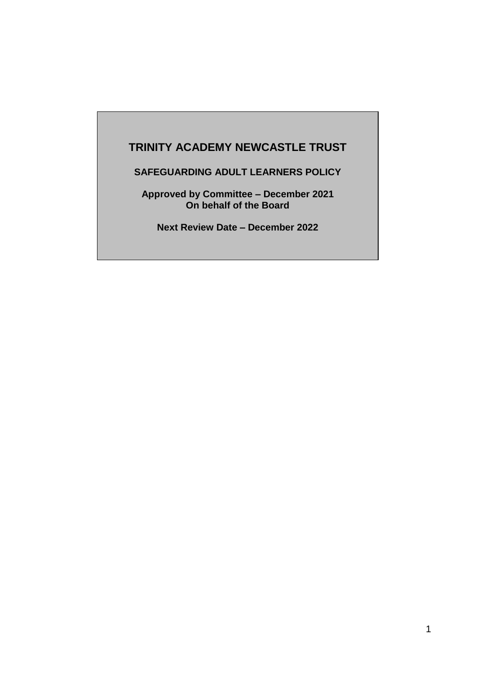# **TRINITY ACADEMY NEWCASTLE TRUST**

**SAFEGUARDING ADULT LEARNERS POLICY** 

**Approved by Committee – December 2021 On behalf of the Board** 

**Next Review Date – December 2022**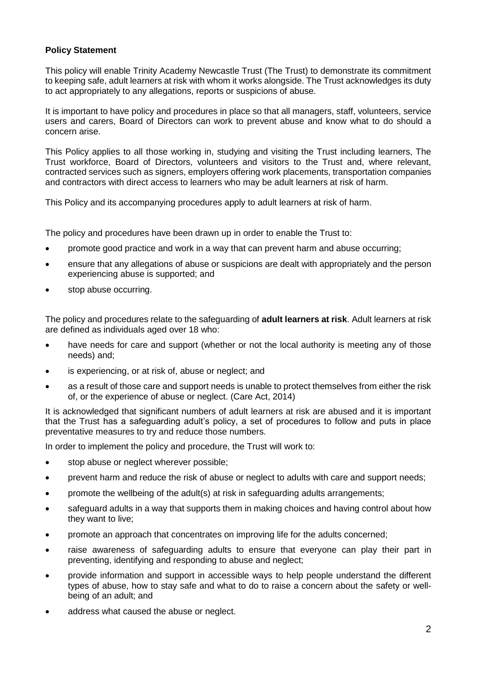### **Policy Statement**

This policy will enable Trinity Academy Newcastle Trust (The Trust) to demonstrate its commitment to keeping safe, adult learners at risk with whom it works alongside. The Trust acknowledges its duty to act appropriately to any allegations, reports or suspicions of abuse.

It is important to have policy and procedures in place so that all managers, staff, volunteers, service users and carers, Board of Directors can work to prevent abuse and know what to do should a concern arise.

This Policy applies to all those working in, studying and visiting the Trust including learners, The Trust workforce, Board of Directors, volunteers and visitors to the Trust and, where relevant, contracted services such as signers, employers offering work placements, transportation companies and contractors with direct access to learners who may be adult learners at risk of harm.

This Policy and its accompanying procedures apply to adult learners at risk of harm.

The policy and procedures have been drawn up in order to enable the Trust to:

- promote good practice and work in a way that can prevent harm and abuse occurring;
- ensure that any allegations of abuse or suspicions are dealt with appropriately and the person experiencing abuse is supported; and
- stop abuse occurring.

The policy and procedures relate to the safeguarding of **adult learners at risk**. Adult learners at risk are defined as individuals aged over 18 who:

- have needs for care and support (whether or not the local authority is meeting any of those needs) and;
- is experiencing, or at risk of, abuse or neglect; and
- as a result of those care and support needs is unable to protect themselves from either the risk of, or the experience of abuse or neglect. (Care Act, 2014)

It is acknowledged that significant numbers of adult learners at risk are abused and it is important that the Trust has a safeguarding adult's policy, a set of procedures to follow and puts in place preventative measures to try and reduce those numbers.

In order to implement the policy and procedure, the Trust will work to:

- stop abuse or neglect wherever possible;
- prevent harm and reduce the risk of abuse or neglect to adults with care and support needs;
- promote the wellbeing of the adult(s) at risk in safeguarding adults arrangements;
- safeguard adults in a way that supports them in making choices and having control about how they want to live;
- promote an approach that concentrates on improving life for the adults concerned;
- raise awareness of safeguarding adults to ensure that everyone can play their part in preventing, identifying and responding to abuse and neglect;
- provide information and support in accessible ways to help people understand the different types of abuse, how to stay safe and what to do to raise a concern about the safety or wellbeing of an adult; and
- address what caused the abuse or neglect.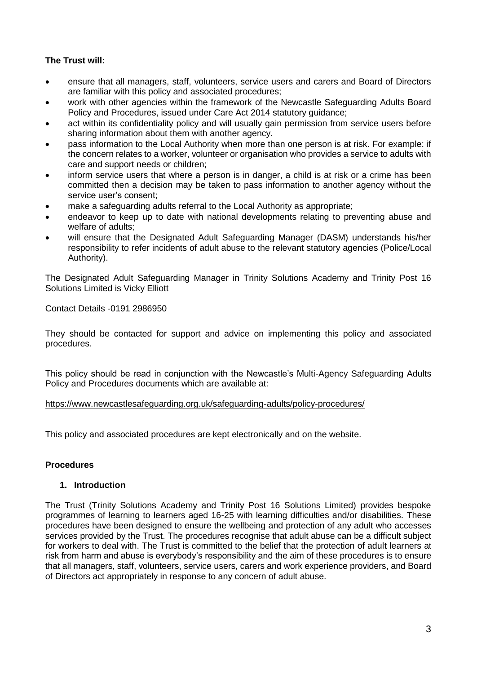## **The Trust will:**

- ensure that all managers, staff, volunteers, service users and carers and Board of Directors are familiar with this policy and associated procedures;
- work with other agencies within the framework of the Newcastle Safeguarding Adults Board Policy and Procedures, issued under Care Act 2014 statutory guidance;
- act within its confidentiality policy and will usually gain permission from service users before sharing information about them with another agency.
- pass information to the Local Authority when more than one person is at risk. For example: if the concern relates to a worker, volunteer or organisation who provides a service to adults with care and support needs or children;
- inform service users that where a person is in danger, a child is at risk or a crime has been committed then a decision may be taken to pass information to another agency without the service user's consent;
- make a safeguarding adults referral to the Local Authority as appropriate;
- endeavor to keep up to date with national developments relating to preventing abuse and welfare of adults;
- will ensure that the Designated Adult Safeguarding Manager (DASM) understands his/her responsibility to refer incidents of adult abuse to the relevant statutory agencies (Police/Local Authority).

The Designated Adult Safeguarding Manager in Trinity Solutions Academy and Trinity Post 16 Solutions Limited is Vicky Elliott

Contact Details -0191 2986950

They should be contacted for support and advice on implementing this policy and associated procedures.

This policy should be read in conjunction with the Newcastle's Multi-Agency Safeguarding Adults Policy and Procedures documents which are available at:

### <https://www.newcastlesafeguarding.org.uk/safeguarding-adults/policy-procedures/>

This policy and associated procedures are kept electronically and on the website.

### **Procedures**

### **1. Introduction**

The Trust (Trinity Solutions Academy and Trinity Post 16 Solutions Limited) provides bespoke programmes of learning to learners aged 16-25 with learning difficulties and/or disabilities. These procedures have been designed to ensure the wellbeing and protection of any adult who accesses services provided by the Trust. The procedures recognise that adult abuse can be a difficult subject for workers to deal with. The Trust is committed to the belief that the protection of adult learners at risk from harm and abuse is everybody's responsibility and the aim of these procedures is to ensure that all managers, staff, volunteers, service users, carers and work experience providers, and Board of Directors act appropriately in response to any concern of adult abuse.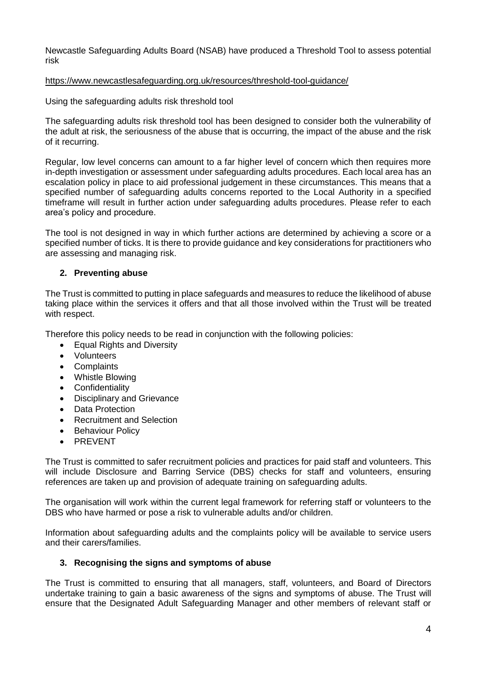Newcastle Safeguarding Adults Board (NSAB) have produced a Threshold Tool to assess potential risk

### <https://www.newcastlesafeguarding.org.uk/resources/threshold-tool-guidance/>

Using the safeguarding adults risk threshold tool

The safeguarding adults risk threshold tool has been designed to consider both the vulnerability of the adult at risk, the seriousness of the abuse that is occurring, the impact of the abuse and the risk of it recurring.

Regular, low level concerns can amount to a far higher level of concern which then requires more in-depth investigation or assessment under safeguarding adults procedures. Each local area has an escalation policy in place to aid professional judgement in these circumstances. This means that a specified number of safeguarding adults concerns reported to the Local Authority in a specified timeframe will result in further action under safeguarding adults procedures. Please refer to each area's policy and procedure.

The tool is not designed in way in which further actions are determined by achieving a score or a specified number of ticks. It is there to provide guidance and key considerations for practitioners who are assessing and managing risk.

### **2. Preventing abuse**

The Trust is committed to putting in place safeguards and measures to reduce the likelihood of abuse taking place within the services it offers and that all those involved within the Trust will be treated with respect.

Therefore this policy needs to be read in conjunction with the following policies:

- Equal Rights and Diversity
- Volunteers
- Complaints
- Whistle Blowing
- Confidentiality
- Disciplinary and Grievance
- Data Protection
- Recruitment and Selection
- Behaviour Policy
- PREVENT

The Trust is committed to safer recruitment policies and practices for paid staff and volunteers. This will include Disclosure and Barring Service (DBS) checks for staff and volunteers, ensuring references are taken up and provision of adequate training on safeguarding adults.

The organisation will work within the current legal framework for referring staff or volunteers to the DBS who have harmed or pose a risk to vulnerable adults and/or children.

Information about safeguarding adults and the complaints policy will be available to service users and their carers/families.

### **3. Recognising the signs and symptoms of abuse**

The Trust is committed to ensuring that all managers, staff, volunteers, and Board of Directors undertake training to gain a basic awareness of the signs and symptoms of abuse. The Trust will ensure that the Designated Adult Safeguarding Manager and other members of relevant staff or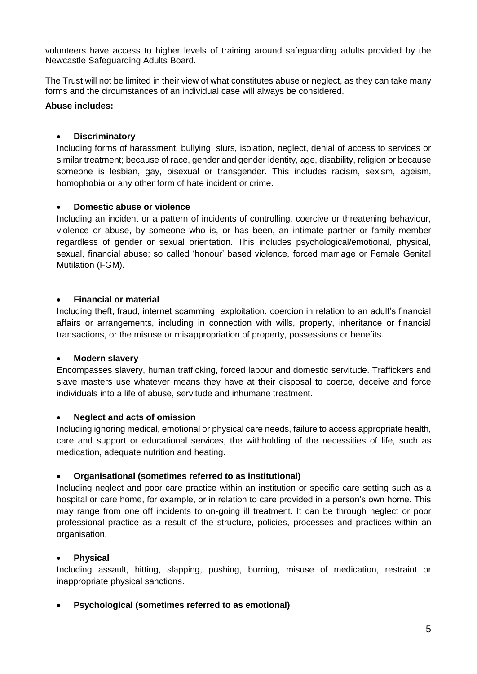volunteers have access to higher levels of training around safeguarding adults provided by the Newcastle Safeguarding Adults Board.

The Trust will not be limited in their view of what constitutes abuse or neglect, as they can take many forms and the circumstances of an individual case will always be considered.

### **Abuse includes:**

### **Discriminatory**

Including forms of harassment, bullying, slurs, isolation, neglect, denial of access to services or similar treatment; because of race, gender and gender identity, age, disability, religion or because someone is lesbian, gay, bisexual or transgender. This includes racism, sexism, ageism, homophobia or any other form of hate incident or crime.

### **Domestic abuse or violence**

Including an incident or a pattern of incidents of controlling, coercive or threatening behaviour, violence or abuse, by someone who is, or has been, an intimate partner or family member regardless of gender or sexual orientation. This includes psychological/emotional, physical, sexual, financial abuse; so called 'honour' based violence, forced marriage or Female Genital Mutilation (FGM).

### **Financial or material**

Including theft, fraud, internet scamming, exploitation, coercion in relation to an adult's financial affairs or arrangements, including in connection with wills, property, inheritance or financial transactions, or the misuse or misappropriation of property, possessions or benefits.

### **Modern slavery**

Encompasses slavery, human trafficking, forced labour and domestic servitude. Traffickers and slave masters use whatever means they have at their disposal to coerce, deceive and force individuals into a life of abuse, servitude and inhumane treatment.

### **Neglect and acts of omission**

Including ignoring medical, emotional or physical care needs, failure to access appropriate health, care and support or educational services, the withholding of the necessities of life, such as medication, adequate nutrition and heating.

### **Organisational (sometimes referred to as institutional)**

Including neglect and poor care practice within an institution or specific care setting such as a hospital or care home, for example, or in relation to care provided in a person's own home. This may range from one off incidents to on-going ill treatment. It can be through neglect or poor professional practice as a result of the structure, policies, processes and practices within an organisation.

### **Physical**

Including assault, hitting, slapping, pushing, burning, misuse of medication, restraint or inappropriate physical sanctions.

### **Psychological (sometimes referred to as emotional)**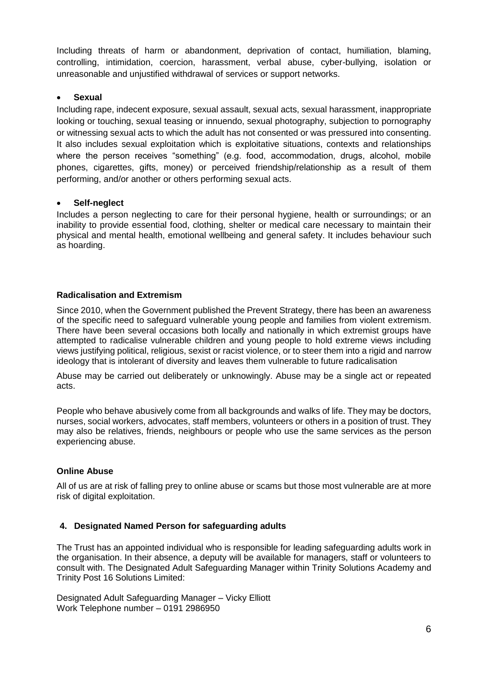Including threats of harm or abandonment, deprivation of contact, humiliation, blaming, controlling, intimidation, coercion, harassment, verbal abuse, cyber-bullying, isolation or unreasonable and unjustified withdrawal of services or support networks.

## **Sexual**

Including rape, indecent exposure, sexual assault, sexual acts, sexual harassment, inappropriate looking or touching, sexual teasing or innuendo, sexual photography, subjection to pornography or witnessing sexual acts to which the adult has not consented or was pressured into consenting. It also includes sexual exploitation which is exploitative situations, contexts and relationships where the person receives "something" (e.g. food, accommodation, drugs, alcohol, mobile phones, cigarettes, gifts, money) or perceived friendship/relationship as a result of them performing, and/or another or others performing sexual acts.

### **Self-neglect**

Includes a person neglecting to care for their personal hygiene, health or surroundings; or an inability to provide essential food, clothing, shelter or medical care necessary to maintain their physical and mental health, emotional wellbeing and general safety. It includes behaviour such as hoarding.

# **Radicalisation and Extremism**

Since 2010, when the Government published the Prevent Strategy, there has been an awareness of the specific need to safeguard vulnerable young people and families from violent extremism. There have been several occasions both locally and nationally in which extremist groups have attempted to radicalise vulnerable children and young people to hold extreme views including views justifying political, religious, sexist or racist violence, or to steer them into a rigid and narrow ideology that is intolerant of diversity and leaves them vulnerable to future radicalisation

Abuse may be carried out deliberately or unknowingly. Abuse may be a single act or repeated acts.

People who behave abusively come from all backgrounds and walks of life. They may be doctors, nurses, social workers, advocates, staff members, volunteers or others in a position of trust. They may also be relatives, friends, neighbours or people who use the same services as the person experiencing abuse.

### **Online Abuse**

All of us are at risk of falling prey to online abuse or scams but those most vulnerable are at more risk of digital exploitation.

### **4. Designated Named Person for safeguarding adults**

The Trust has an appointed individual who is responsible for leading safeguarding adults work in the organisation. In their absence, a deputy will be available for managers, staff or volunteers to consult with. The Designated Adult Safeguarding Manager within Trinity Solutions Academy and Trinity Post 16 Solutions Limited:

Designated Adult Safeguarding Manager – Vicky Elliott Work Telephone number – 0191 2986950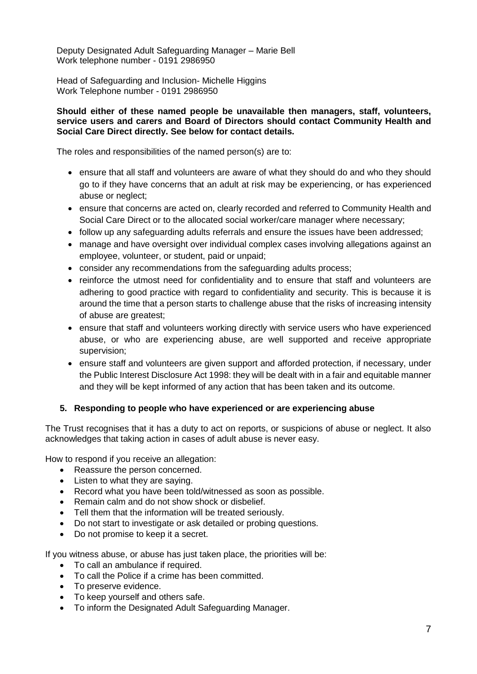Deputy Designated Adult Safeguarding Manager – Marie Bell Work telephone number - 0191 2986950

Head of Safeguarding and Inclusion- Michelle Higgins Work Telephone number - 0191 2986950

#### **Should either of these named people be unavailable then managers, staff, volunteers, service users and carers and Board of Directors should contact Community Health and Social Care Direct directly. See below for contact details.**

The roles and responsibilities of the named person(s) are to:

- ensure that all staff and volunteers are aware of what they should do and who they should go to if they have concerns that an adult at risk may be experiencing, or has experienced abuse or neglect;
- ensure that concerns are acted on, clearly recorded and referred to Community Health and Social Care Direct or to the allocated social worker/care manager where necessary;
- follow up any safeguarding adults referrals and ensure the issues have been addressed;
- manage and have oversight over individual complex cases involving allegations against an employee, volunteer, or student, paid or unpaid;
- consider any recommendations from the safeguarding adults process;
- reinforce the utmost need for confidentiality and to ensure that staff and volunteers are adhering to good practice with regard to confidentiality and security. This is because it is around the time that a person starts to challenge abuse that the risks of increasing intensity of abuse are greatest;
- ensure that staff and volunteers working directly with service users who have experienced abuse, or who are experiencing abuse, are well supported and receive appropriate supervision;
- ensure staff and volunteers are given support and afforded protection, if necessary, under the Public Interest Disclosure Act 1998: they will be dealt with in a fair and equitable manner and they will be kept informed of any action that has been taken and its outcome.

### **5. Responding to people who have experienced or are experiencing abuse**

The Trust recognises that it has a duty to act on reports, or suspicions of abuse or neglect. It also acknowledges that taking action in cases of adult abuse is never easy.

How to respond if you receive an allegation:

- Reassure the person concerned.
- Listen to what they are saying.
- Record what you have been told/witnessed as soon as possible.
- Remain calm and do not show shock or disbelief.
- Tell them that the information will be treated seriously.
- Do not start to investigate or ask detailed or probing questions.
- Do not promise to keep it a secret.

If you witness abuse, or abuse has just taken place, the priorities will be:

- To call an ambulance if required.
- To call the Police if a crime has been committed.
- To preserve evidence.
- To keep yourself and others safe.
- To inform the Designated Adult Safeguarding Manager.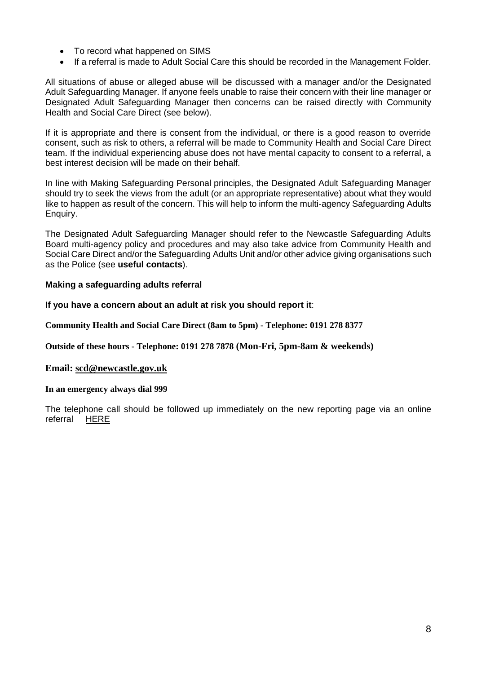- To record what happened on SIMS
- If a referral is made to Adult Social Care this should be recorded in the Management Folder.

All situations of abuse or alleged abuse will be discussed with a manager and/or the Designated Adult Safeguarding Manager. If anyone feels unable to raise their concern with their line manager or Designated Adult Safeguarding Manager then concerns can be raised directly with Community Health and Social Care Direct (see below).

If it is appropriate and there is consent from the individual, or there is a good reason to override consent, such as risk to others, a referral will be made to Community Health and Social Care Direct team. If the individual experiencing abuse does not have mental capacity to consent to a referral, a best interest decision will be made on their behalf.

In line with Making Safeguarding Personal principles, the Designated Adult Safeguarding Manager should try to seek the views from the adult (or an appropriate representative) about what they would like to happen as result of the concern. This will help to inform the multi-agency Safeguarding Adults Enquiry.

The Designated Adult Safeguarding Manager should refer to the Newcastle Safeguarding Adults Board multi-agency policy and procedures and may also take advice from Community Health and Social Care Direct and/or the Safeguarding Adults Unit and/or other advice giving organisations such as the Police (see **useful contacts**).

### **Making a safeguarding adults referral**

### **If you have a concern about an adult at risk you should report it**:

**Community Health and Social Care Direct (8am to 5pm) - Telephone: 0191 278 8377**

**Outside of these hours - Telephone: 0191 278 7878 (Mon-Fri, 5pm-8am & weekends)**

#### **Email: [scd@newcastle.gov.uk](mailto:scd@newcastle.gov.uk)**

#### **In an emergency always dial 999**

The telephone call should be followed up immediately on the new reporting page via an online referral [HERE](https://www.newcastlesafeguarding.org.uk/report-a-concern/)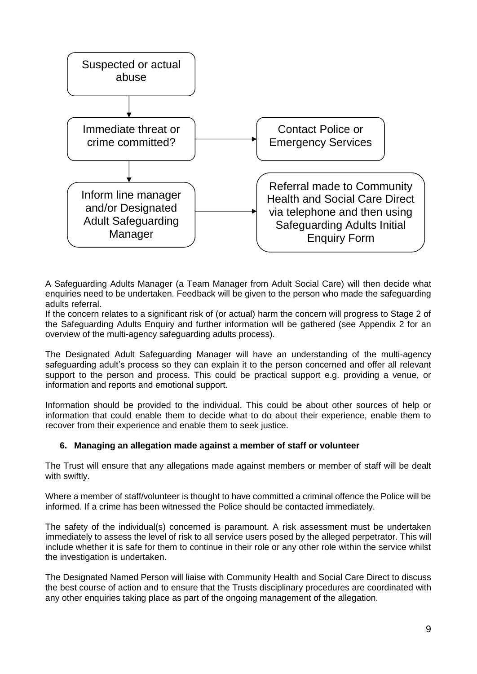

A Safeguarding Adults Manager (a Team Manager from Adult Social Care) will then decide what enquiries need to be undertaken. Feedback will be given to the person who made the safeguarding adults referral.

If the concern relates to a significant risk of (or actual) harm the concern will progress to Stage 2 of the Safeguarding Adults Enquiry and further information will be gathered (see Appendix 2 for an overview of the multi-agency safeguarding adults process).

The Designated Adult Safeguarding Manager will have an understanding of the multi-agency safeguarding adult's process so they can explain it to the person concerned and offer all relevant support to the person and process. This could be practical support e.g. providing a venue, or information and reports and emotional support.

Information should be provided to the individual. This could be about other sources of help or information that could enable them to decide what to do about their experience, enable them to recover from their experience and enable them to seek justice.

### **6. Managing an allegation made against a member of staff or volunteer**

The Trust will ensure that any allegations made against members or member of staff will be dealt with swiftly.

Where a member of staff/volunteer is thought to have committed a criminal offence the Police will be informed. If a crime has been witnessed the Police should be contacted immediately.

The safety of the individual(s) concerned is paramount. A risk assessment must be undertaken immediately to assess the level of risk to all service users posed by the alleged perpetrator. This will include whether it is safe for them to continue in their role or any other role within the service whilst the investigation is undertaken.

The Designated Named Person will liaise with Community Health and Social Care Direct to discuss the best course of action and to ensure that the Trusts disciplinary procedures are coordinated with any other enquiries taking place as part of the ongoing management of the allegation.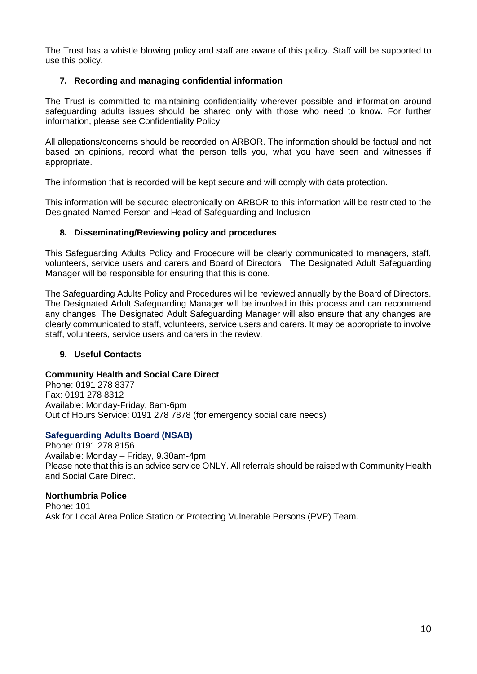The Trust has a whistle blowing policy and staff are aware of this policy. Staff will be supported to use this policy.

### **7. Recording and managing confidential information**

The Trust is committed to maintaining confidentiality wherever possible and information around safeguarding adults issues should be shared only with those who need to know. For further information, please see Confidentiality Policy

All allegations/concerns should be recorded on ARBOR. The information should be factual and not based on opinions, record what the person tells you, what you have seen and witnesses if appropriate.

The information that is recorded will be kept secure and will comply with data protection.

This information will be secured electronically on ARBOR to this information will be restricted to the Designated Named Person and Head of Safeguarding and Inclusion

### **8. Disseminating/Reviewing policy and procedures**

This Safeguarding Adults Policy and Procedure will be clearly communicated to managers, staff, volunteers, service users and carers and Board of Directors. The Designated Adult Safeguarding Manager will be responsible for ensuring that this is done.

The Safeguarding Adults Policy and Procedures will be reviewed annually by the Board of Directors. The Designated Adult Safeguarding Manager will be involved in this process and can recommend any changes. The Designated Adult Safeguarding Manager will also ensure that any changes are clearly communicated to staff, volunteers, service users and carers. It may be appropriate to involve staff, volunteers, service users and carers in the review.

### **9. Useful Contacts**

### **Community Health and Social Care Direct**

Phone: 0191 278 8377 Fax: 0191 278 8312 Available: Monday-Friday, 8am-6pm Out of Hours Service: 0191 278 7878 (for emergency social care needs)

### **Safeguarding Adults Board (NSAB)**

Phone: 0191 278 8156 Available: Monday – Friday, 9.30am-4pm Please note that this is an advice service ONLY. All referrals should be raised with Community Health and Social Care Direct.

### **Northumbria Police**

Phone: 101 Ask for Local Area Police Station or Protecting Vulnerable Persons (PVP) Team.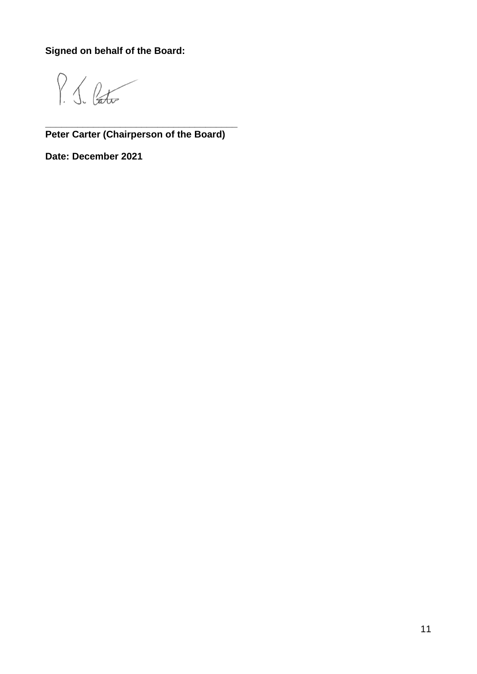**Signed on behalf of the Board:**

 $P_{16}$ 

**\_\_\_\_\_\_\_\_\_\_\_\_\_\_\_\_\_\_\_\_\_\_\_\_\_\_\_\_\_\_\_\_\_\_\_\_ Peter Carter (Chairperson of the Board)**

**Date: December 2021**